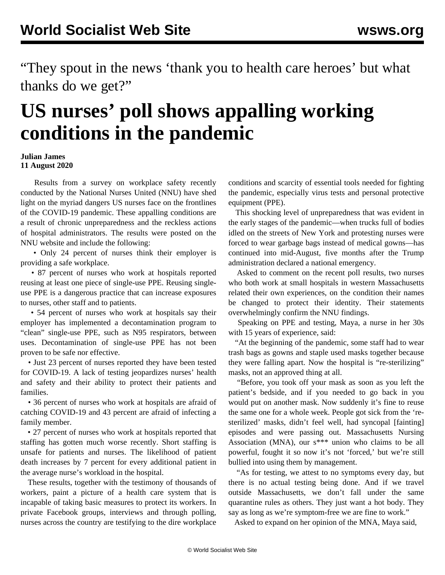"They spout in the news 'thank you to health care heroes' but what thanks do we get?"

## **US nurses' poll shows appalling working conditions in the pandemic**

## **Julian James 11 August 2020**

 Results from a survey on workplace safety recently conducted by the National Nurses United (NNU) have shed light on the myriad dangers US nurses face on the frontlines of the COVID-19 pandemic. These appalling conditions are a result of chronic unpreparedness and the reckless actions of hospital administrators. The [results](https://www.nationalnursesunited.org/covid-19-survey) were posted on the NNU website and include the following:

 • Only 24 percent of nurses think their employer is providing a safe workplace.

 • 87 percent of nurses who work at hospitals reported reusing at least one piece of single-use PPE. Reusing singleuse PPE is a dangerous practice that can increase exposures to nurses, other staff and to patients.

 • 54 percent of nurses who work at hospitals say their employer has implemented a decontamination program to "clean" single-use PPE, such as N95 respirators, between uses. Decontamination of single-use PPE has not been proven to be safe nor effective.

 • Just 23 percent of nurses reported they have been tested for COVID-19. A lack of testing jeopardizes nurses' health and safety and their ability to protect their patients and families.

 • 36 percent of nurses who work at hospitals are afraid of catching COVID-19 and 43 percent are afraid of infecting a family member.

 • 27 percent of nurses who work at hospitals reported that staffing has gotten much worse recently. Short staffing is unsafe for patients and nurses. The likelihood of patient death increases by 7 percent for every additional patient in the average nurse's workload in the hospital.

 These results, together with the testimony of thousands of workers, paint a picture of a health care system that is incapable of taking basic measures to protect its workers. In private Facebook groups, interviews and through polling, nurses across the country are testifying to the dire workplace conditions and scarcity of essential tools needed for fighting the pandemic, especially virus tests and personal protective equipment (PPE).

 This shocking level of unpreparedness that was evident in the early stages of the pandemic—when trucks full of [bodies](/en/articles/2020/05/01/corp-m01.html) idled on the streets of New York and protesting nurses were forced to wear [garbage bags](/en/articles/2020/03/30/nurs-m30.html) instead of medical gowns—has continued into mid-August, five months after the Trump administration declared a national emergency.

 Asked to comment on the recent poll results, two nurses who both work at small hospitals in western Massachusetts related their own experiences, on the condition their names be changed to protect their identity. Their statements overwhelmingly confirm the NNU findings.

 Speaking on PPE and testing, Maya, a nurse in her 30s with 15 years of experience, said:

 "At the beginning of the pandemic, some staff had to wear trash bags as gowns and staple used masks together because they were falling apart. Now the hospital is "re-sterilizing" masks, not an approved thing at all.

 "Before, you took off your mask as soon as you left the patient's bedside, and if you needed to go back in you would put on another mask. Now suddenly it's fine to reuse the same one for a whole week. People got sick from the 'resterilized' masks, didn't feel well, had syncopal [fainting] episodes and were passing out. Massachusetts Nursing Association (MNA), our s\*\*\* union who claims to be all powerful, fought it so now it's not 'forced,' but we're still bullied into using them by management.

 "As for testing, we attest to no symptoms every day, but there is no actual testing being done. And if we travel outside Massachusetts, we don't fall under the same quarantine rules as others. They just want a hot body. They say as long as we're symptom-free we are fine to work."

Asked to expand on her opinion of the MNA, Maya said,